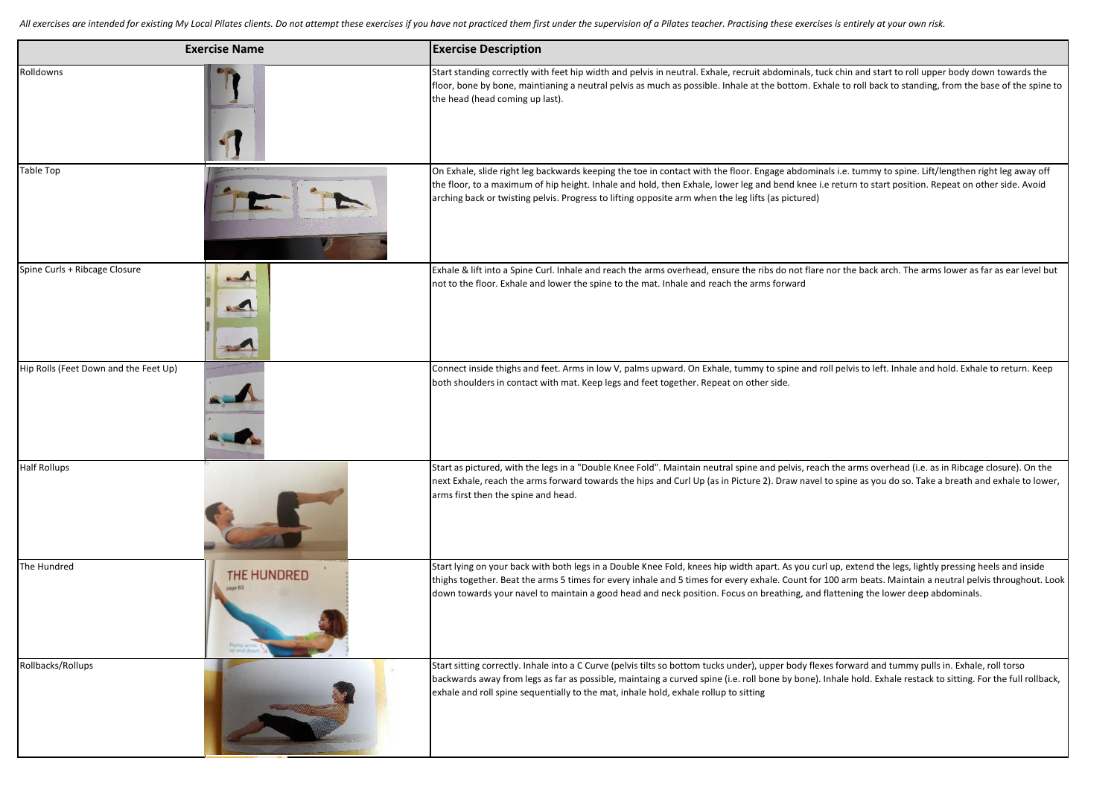All exercises are intended for existing My Local Pilates clients. Do not attempt these exercises if you have not practiced them first under the supervision of a Pilates teacher. Practising these exercises is entirely at yo

| <b>Exercise Name</b>                  |                       | <b>Exercise Description</b>                                                                                                                                                                                                                                                                                                                                                                                                                               |
|---------------------------------------|-----------------------|-----------------------------------------------------------------------------------------------------------------------------------------------------------------------------------------------------------------------------------------------------------------------------------------------------------------------------------------------------------------------------------------------------------------------------------------------------------|
| Rolldowns                             |                       | Start standing correctly with feet hip width and pelvis in neutral. Exhale, recruit abdominals, tuck chin and start to roll upper body down towards the<br>floor, bone by bone, maintianing a neutral pelvis as much as possible. Inhale at the bottom. Exhale to roll back to standing, from the base of the spine to<br>the head (head coming up last).                                                                                                 |
| Table Top                             |                       | On Exhale, slide right leg backwards keeping the toe in contact with the floor. Engage abdominals i.e. tummy to spine. Lift/lengthen right leg away off<br>the floor, to a maximum of hip height. Inhale and hold, then Exhale, lower leg and bend knee i.e return to start position. Repeat on other side. Avoid<br>arching back or twisting pelvis. Progress to lifting opposite arm when the leg lifts (as pictured)                                   |
| Spine Curls + Ribcage Closure         | 232<br><b>Balling</b> | Exhale & lift into a Spine Curl. Inhale and reach the arms overhead, ensure the ribs do not flare nor the back arch. The arms lower as far as ear level but<br>not to the floor. Exhale and lower the spine to the mat. Inhale and reach the arms forward                                                                                                                                                                                                 |
| Hip Rolls (Feet Down and the Feet Up) |                       | Connect inside thighs and feet. Arms in low V, palms upward. On Exhale, tummy to spine and roll pelvis to left. Inhale and hold. Exhale to return. Keep<br>both shoulders in contact with mat. Keep legs and feet together. Repeat on other side.                                                                                                                                                                                                         |
| <b>Half Rollups</b>                   |                       | Start as pictured, with the legs in a "Double Knee Fold". Maintain neutral spine and pelvis, reach the arms overhead (i.e. as in Ribcage closure). On the<br>next Exhale, reach the arms forward towards the hips and Curl Up (as in Picture 2). Draw navel to spine as you do so. Take a breath and exhale to lower,<br>arms first then the spine and head.                                                                                              |
| The Hundred                           | <b>THE HUNDRED</b>    | Start lying on your back with both legs in a Double Knee Fold, knees hip width apart. As you curl up, extend the legs, lightly pressing heels and inside<br>thighs together. Beat the arms 5 times for every inhale and 5 times for every exhale. Count for 100 arm beats. Maintain a neutral pelvis throughout. Look<br>down towards your navel to maintain a good head and neck position. Focus on breathing, and flattening the lower deep abdominals. |
| Rollbacks/Rollups                     |                       | Start sitting correctly. Inhale into a C Curve (pelvis tilts so bottom tucks under), upper body flexes forward and tummy pulls in. Exhale, roll torso<br>backwards away from legs as far as possible, maintaing a curved spine (i.e. roll bone by bone). Inhale hold. Exhale restack to sitting. For the full rollback,<br>exhale and roll spine sequentially to the mat, inhale hold, exhale rollup to sitting                                           |